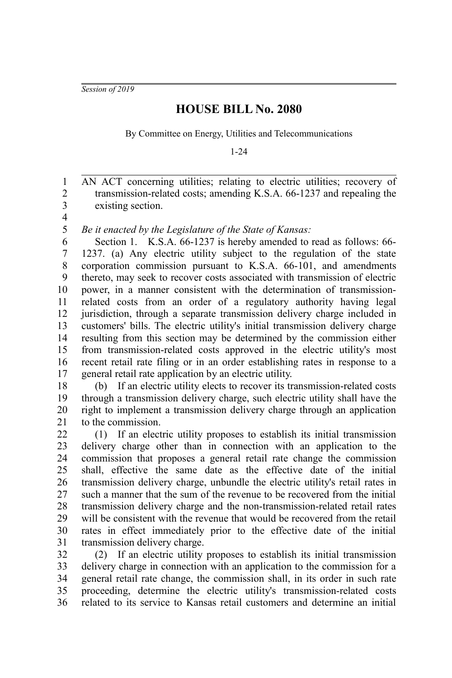*Session of 2019*

## **HOUSE BILL No. 2080**

By Committee on Energy, Utilities and Telecommunications

1-24

AN ACT concerning utilities; relating to electric utilities; recovery of transmission-related costs; amending K.S.A. 66-1237 and repealing the existing section. 1 2 3

4 5

*Be it enacted by the Legislature of the State of Kansas:*

Section 1. K.S.A. 66-1237 is hereby amended to read as follows: 66-1237. (a) Any electric utility subject to the regulation of the state corporation commission pursuant to K.S.A. 66-101, and amendments thereto, may seek to recover costs associated with transmission of electric power, in a manner consistent with the determination of transmissionrelated costs from an order of a regulatory authority having legal jurisdiction, through a separate transmission delivery charge included in customers' bills. The electric utility's initial transmission delivery charge resulting from this section may be determined by the commission either from transmission-related costs approved in the electric utility's most recent retail rate filing or in an order establishing rates in response to a general retail rate application by an electric utility. 6 7 8 9 10 11 12 13 14 15 16 17

(b) If an electric utility elects to recover its transmission-related costs through a transmission delivery charge, such electric utility shall have the right to implement a transmission delivery charge through an application to the commission. 18 19 20 21

(1) If an electric utility proposes to establish its initial transmission delivery charge other than in connection with an application to the commission that proposes a general retail rate change the commission shall, effective the same date as the effective date of the initial transmission delivery charge, unbundle the electric utility's retail rates in such a manner that the sum of the revenue to be recovered from the initial transmission delivery charge and the non-transmission-related retail rates will be consistent with the revenue that would be recovered from the retail rates in effect immediately prior to the effective date of the initial transmission delivery charge. 22 23 24 25 26 27 28 29 30 31

(2) If an electric utility proposes to establish its initial transmission delivery charge in connection with an application to the commission for a general retail rate change, the commission shall, in its order in such rate proceeding, determine the electric utility's transmission-related costs related to its service to Kansas retail customers and determine an initial 32 33 34 35 36